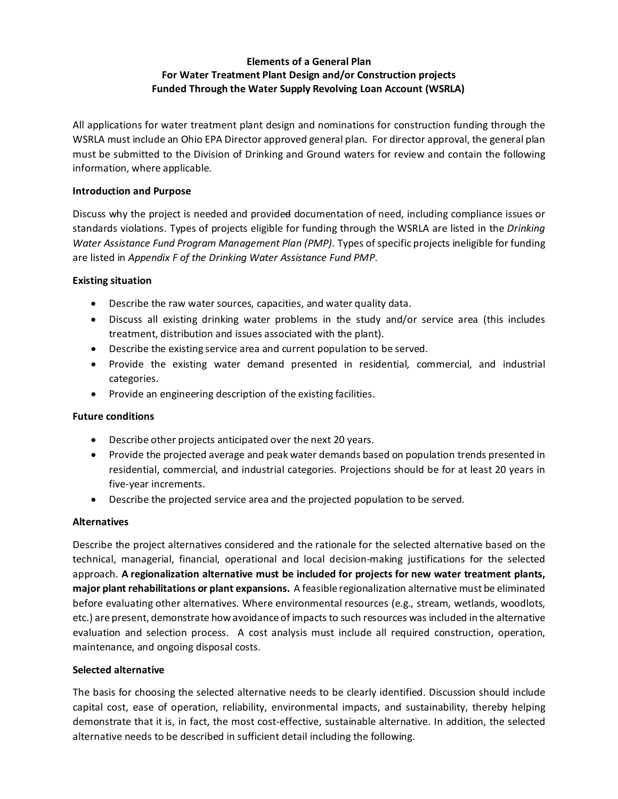# **Elements of a General Plan For Water Treatment Plant Design and/or Construction projects Funded Through the Water Supply Revolving Loan Account (WSRLA)**

All applications for water treatment plant design and nominations for construction funding through the WSRLA must include an Ohio EPA Director approved general plan. For director approval, the general plan must be submitted to the Division of Drinking and Ground waters for review and contain the following information, where applicable.

#### **Introduction and Purpose**

Discuss why the project is needed and provided documentation of need, including compliance issues or standards violations. Types of projects eligible for funding through the WSRLA are listed in the *Drinking Water Assistance Fund Program Management Plan (PMP)*. Types of specific projects ineligible for funding are listed in *Appendix F of the Drinking Water Assistance Fund PMP*.

### **Existing situation**

- Describe the raw water sources, capacities, and water quality data.
- Discuss all existing drinking water problems in the study and/or service area (this includes treatment, distribution and issues associated with the plant).
- Describe the existing service area and current population to be served.
- Provide the existing water demand presented in residential, commercial, and industrial categories.
- Provide an engineering description of the existing facilities.

#### **Future conditions**

- Describe other projects anticipated over the next 20 years.
- Provide the projected average and peak water demands based on population trends presented in residential, commercial, and industrial categories. Projections should be for at least 20 years in five-year increments.
- Describe the projected service area and the projected population to be served.

#### **Alternatives**

Describe the project alternatives considered and the rationale for the selected alternative based on the technical, managerial, financial, operational and local decision-making justifications for the selected approach. **A regionalization alternative must be included for projects for new water treatment plants, major plant rehabilitations or plant expansions.** A feasible regionalization alternative must be eliminated before evaluating other alternatives. Where environmental resources (e.g., stream, wetlands, woodlots, etc.) are present, demonstrate how avoidance of impacts to such resources was included in the alternative evaluation and selection process. A cost analysis must include all required construction, operation, maintenance, and ongoing disposal costs.

#### **Selected alternative**

The basis for choosing the selected alternative needs to be clearly identified. Discussion should include capital cost, ease of operation, reliability, environmental impacts, and sustainability, thereby helping demonstrate that it is, in fact, the most cost-effective, sustainable alternative. In addition, the selected alternative needs to be described in sufficient detail including the following.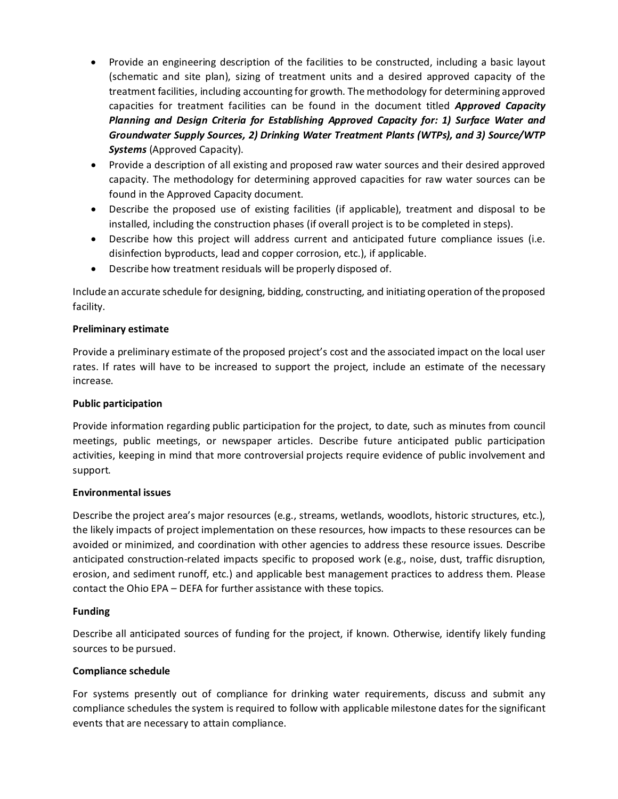- Provide an engineering description of the facilities to be constructed, including a basic layout (schematic and site plan), sizing of treatment units and a desired approved capacity of the treatment facilities, including accounting for growth. The methodology for determining approved capacities for treatment facilities can be found in the document titled *Approved Capacity Planning and Design Criteria for Establishing Approved Capacity for: 1) Surface Water and Groundwater Supply Sources, 2) Drinking Water Treatment Plants (WTPs), and 3) Source/WTP Systems* (Approved Capacity).
- Provide a description of all existing and proposed raw water sources and their desired approved capacity. The methodology for determining approved capacities for raw water sources can be found in the Approved Capacity document.
- Describe the proposed use of existing facilities (if applicable), treatment and disposal to be installed, including the construction phases (if overall project is to be completed in steps).
- Describe how this project will address current and anticipated future compliance issues (i.e. disinfection byproducts, lead and copper corrosion, etc.), if applicable.
- Describe how treatment residuals will be properly disposed of.

Include an accurate schedule for designing, bidding, constructing, and initiating operation of the proposed facility.

#### **Preliminary estimate**

Provide a preliminary estimate of the proposed project's cost and the associated impact on the local user rates. If rates will have to be increased to support the project, include an estimate of the necessary increase.

#### **Public participation**

Provide information regarding public participation for the project, to date, such as minutes from council meetings, public meetings, or newspaper articles. Describe future anticipated public participation activities, keeping in mind that more controversial projects require evidence of public involvement and support.

#### **Environmental issues**

Describe the project area's major resources (e.g., streams, wetlands, woodlots, historic structures, etc.), the likely impacts of project implementation on these resources, how impacts to these resources can be avoided or minimized, and coordination with other agencies to address these resource issues. Describe anticipated construction-related impacts specific to proposed work (e.g., noise, dust, traffic disruption, erosion, and sediment runoff, etc.) and applicable best management practices to address them. Please contact the Ohio EPA – DEFA for further assistance with these topics.

#### **Funding**

Describe all anticipated sources of funding for the project, if known. Otherwise, identify likely funding sources to be pursued.

#### **Compliance schedule**

For systems presently out of compliance for drinking water requirements, discuss and submit any compliance schedules the system is required to follow with applicable milestone dates for the significant events that are necessary to attain compliance.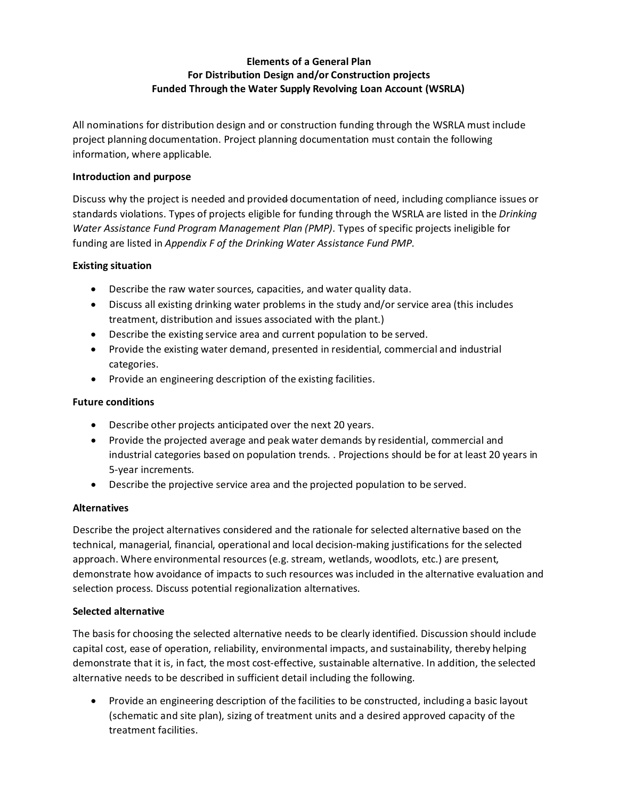# **Elements of a General Plan For Distribution Design and/or Construction projects Funded Through the Water Supply Revolving Loan Account (WSRLA)**

All nominations for distribution design and or construction funding through the WSRLA must include project planning documentation. Project planning documentation must contain the following information, where applicable.

#### **Introduction and purpose**

Discuss why the project is needed and provided documentation of need, including compliance issues or standards violations. Types of projects eligible for funding through the WSRLA are listed in the *Drinking Water Assistance Fund Program Management Plan (PMP)*. Types of specific projects ineligible for funding are listed in *Appendix F of the Drinking Water Assistance Fund PMP*.

### **Existing situation**

- Describe the raw water sources, capacities, and water quality data.
- Discuss all existing drinking water problems in the study and/or service area (this includes treatment, distribution and issues associated with the plant.)
- Describe the existing service area and current population to be served.
- Provide the existing water demand, presented in residential, commercial and industrial categories.
- Provide an engineering description of the existing facilities.

## **Future conditions**

- Describe other projects anticipated over the next 20 years.
- Provide the projected average and peak water demands by residential, commercial and industrial categories based on population trends. . Projections should be for at least 20 years in 5-year increments.
- Describe the projective service area and the projected population to be served.

# **Alternatives**

Describe the project alternatives considered and the rationale for selected alternative based on the technical, managerial, financial, operational and local decision-making justifications for the selected approach. Where environmental resources (e.g. stream, wetlands, woodlots, etc.) are present, demonstrate how avoidance of impacts to such resources was included in the alternative evaluation and selection process. Discuss potential regionalization alternatives.

# **Selected alternative**

The basis for choosing the selected alternative needs to be clearly identified. Discussion should include capital cost, ease of operation, reliability, environmental impacts, and sustainability, thereby helping demonstrate that it is, in fact, the most cost-effective, sustainable alternative. In addition, the selected alternative needs to be described in sufficient detail including the following.

• Provide an engineering description of the facilities to be constructed, including a basic layout (schematic and site plan), sizing of treatment units and a desired approved capacity of the treatment facilities.